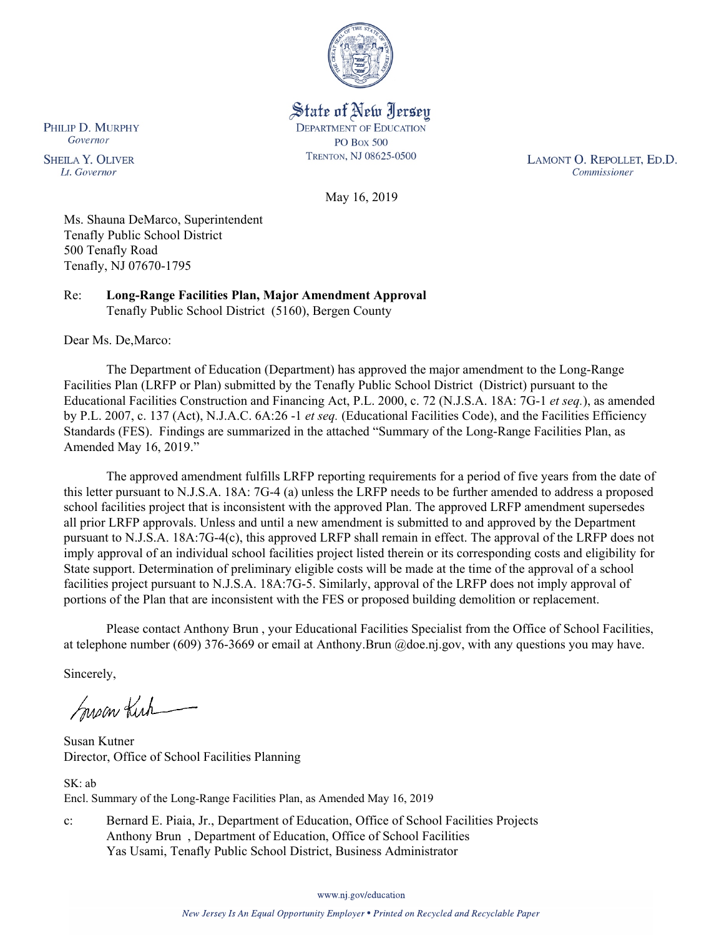

State of New Jersey **DEPARTMENT OF EDUCATION PO Box 500** TRENTON, NJ 08625-0500

LAMONT O. REPOLLET, ED.D. Commissioner

May 16, 2019

Ms. Shauna DeMarco, Superintendent Tenafly Public School District 500 Tenafly Road Tenafly, NJ 07670-1795

Re: **Long-Range Facilities Plan, Major Amendment Approval** Tenafly Public School District (5160), Bergen County

Dear Ms. De,Marco:

The Department of Education (Department) has approved the major amendment to the Long-Range Facilities Plan (LRFP or Plan) submitted by the Tenafly Public School District (District) pursuant to the Educational Facilities Construction and Financing Act, P.L. 2000, c. 72 (N.J.S.A. 18A: 7G-1 *et seq.*), as amended by P.L. 2007, c. 137 (Act), N.J.A.C. 6A:26 -1 *et seq.* (Educational Facilities Code), and the Facilities Efficiency Standards (FES). Findings are summarized in the attached "Summary of the Long-Range Facilities Plan, as Amended May 16, 2019."

The approved amendment fulfills LRFP reporting requirements for a period of five years from the date of this letter pursuant to N.J.S.A. 18A: 7G-4 (a) unless the LRFP needs to be further amended to address a proposed school facilities project that is inconsistent with the approved Plan. The approved LRFP amendment supersedes all prior LRFP approvals. Unless and until a new amendment is submitted to and approved by the Department pursuant to N.J.S.A. 18A:7G-4(c), this approved LRFP shall remain in effect. The approval of the LRFP does not imply approval of an individual school facilities project listed therein or its corresponding costs and eligibility for State support. Determination of preliminary eligible costs will be made at the time of the approval of a school facilities project pursuant to N.J.S.A. 18A:7G-5. Similarly, approval of the LRFP does not imply approval of portions of the Plan that are inconsistent with the FES or proposed building demolition or replacement.

Please contact Anthony Brun , your Educational Facilities Specialist from the Office of School Facilities, at telephone number (609) 376-3669 or email at Anthony.Brun @doe.nj.gov, with any questions you may have.

Sincerely,

Susan Kich

Susan Kutner Director, Office of School Facilities Planning

SK: ab Encl. Summary of the Long-Range Facilities Plan, as Amended May 16, 2019

c: Bernard E. Piaia, Jr., Department of Education, Office of School Facilities Projects Anthony Brun , Department of Education, Office of School Facilities Yas Usami, Tenafly Public School District, Business Administrator

www.nj.gov/education

PHILIP D. MURPHY Governor

**SHEILA Y. OLIVER** Lt. Governor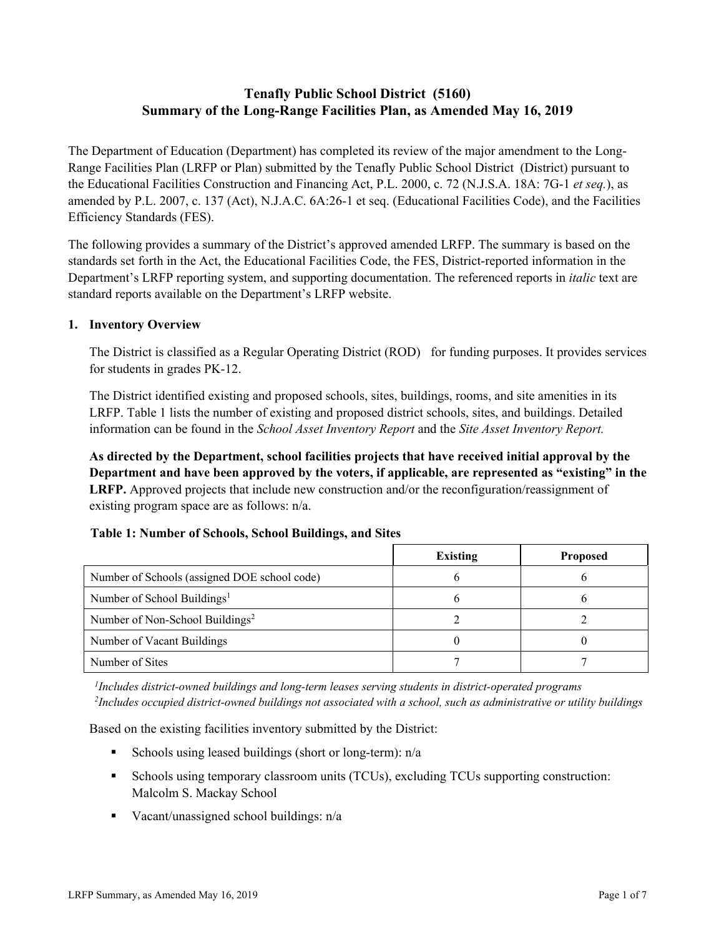# **Tenafly Public School District (5160) Summary of the Long-Range Facilities Plan, as Amended May 16, 2019**

The Department of Education (Department) has completed its review of the major amendment to the Long-Range Facilities Plan (LRFP or Plan) submitted by the Tenafly Public School District (District) pursuant to the Educational Facilities Construction and Financing Act, P.L. 2000, c. 72 (N.J.S.A. 18A: 7G-1 *et seq.*), as amended by P.L. 2007, c. 137 (Act), N.J.A.C. 6A:26-1 et seq. (Educational Facilities Code), and the Facilities Efficiency Standards (FES).

The following provides a summary of the District's approved amended LRFP. The summary is based on the standards set forth in the Act, the Educational Facilities Code, the FES, District-reported information in the Department's LRFP reporting system, and supporting documentation. The referenced reports in *italic* text are standard reports available on the Department's LRFP website.

## **1. Inventory Overview**

The District is classified as a Regular Operating District (ROD) for funding purposes. It provides services for students in grades PK-12.

The District identified existing and proposed schools, sites, buildings, rooms, and site amenities in its LRFP. Table 1 lists the number of existing and proposed district schools, sites, and buildings. Detailed information can be found in the *School Asset Inventory Report* and the *Site Asset Inventory Report.*

**As directed by the Department, school facilities projects that have received initial approval by the Department and have been approved by the voters, if applicable, are represented as "existing" in the LRFP.** Approved projects that include new construction and/or the reconfiguration/reassignment of existing program space are as follows: n/a.

### **Table 1: Number of Schools, School Buildings, and Sites**

|                                              | <b>Existing</b> | <b>Proposed</b> |
|----------------------------------------------|-----------------|-----------------|
| Number of Schools (assigned DOE school code) |                 |                 |
| Number of School Buildings <sup>1</sup>      |                 |                 |
| Number of Non-School Buildings <sup>2</sup>  |                 |                 |
| Number of Vacant Buildings                   |                 |                 |
| Number of Sites                              |                 |                 |

*1 Includes district-owned buildings and long-term leases serving students in district-operated programs 2 Includes occupied district-owned buildings not associated with a school, such as administrative or utility buildings*

Based on the existing facilities inventory submitted by the District:

- Schools using leased buildings (short or long-term):  $n/a$
- Schools using temporary classroom units (TCUs), excluding TCUs supporting construction: Malcolm S. Mackay School
- Vacant/unassigned school buildings:  $n/a$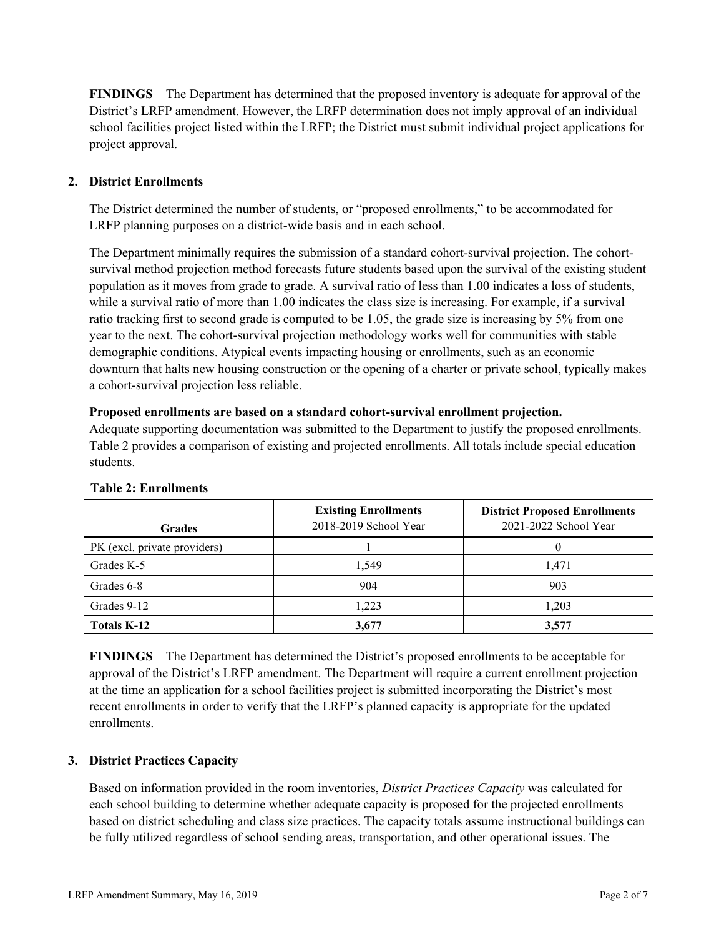**FINDINGS** The Department has determined that the proposed inventory is adequate for approval of the District's LRFP amendment. However, the LRFP determination does not imply approval of an individual school facilities project listed within the LRFP; the District must submit individual project applications for project approval.

# **2. District Enrollments**

The District determined the number of students, or "proposed enrollments," to be accommodated for LRFP planning purposes on a district-wide basis and in each school.

The Department minimally requires the submission of a standard cohort-survival projection. The cohortsurvival method projection method forecasts future students based upon the survival of the existing student population as it moves from grade to grade. A survival ratio of less than 1.00 indicates a loss of students, while a survival ratio of more than 1.00 indicates the class size is increasing. For example, if a survival ratio tracking first to second grade is computed to be 1.05, the grade size is increasing by 5% from one year to the next. The cohort-survival projection methodology works well for communities with stable demographic conditions. Atypical events impacting housing or enrollments, such as an economic downturn that halts new housing construction or the opening of a charter or private school, typically makes a cohort-survival projection less reliable.

#### **Proposed enrollments are based on a standard cohort-survival enrollment projection.**

Adequate supporting documentation was submitted to the Department to justify the proposed enrollments. Table 2 provides a comparison of existing and projected enrollments. All totals include special education students.

| <b>Grades</b>                | <b>Existing Enrollments</b><br>2018-2019 School Year | <b>District Proposed Enrollments</b><br>2021-2022 School Year |
|------------------------------|------------------------------------------------------|---------------------------------------------------------------|
| PK (excl. private providers) |                                                      |                                                               |
| Grades K-5                   | 1.549                                                | 1,471                                                         |
| Grades 6-8                   | 904                                                  | 903                                                           |
| Grades 9-12                  | 1.223                                                | 1,203                                                         |
| Totals K-12                  | 3.677                                                | 3,577                                                         |

#### **Table 2: Enrollments**

**FINDINGS** The Department has determined the District's proposed enrollments to be acceptable for approval of the District's LRFP amendment. The Department will require a current enrollment projection at the time an application for a school facilities project is submitted incorporating the District's most recent enrollments in order to verify that the LRFP's planned capacity is appropriate for the updated enrollments.

# **3. District Practices Capacity**

Based on information provided in the room inventories, *District Practices Capacity* was calculated for each school building to determine whether adequate capacity is proposed for the projected enrollments based on district scheduling and class size practices. The capacity totals assume instructional buildings can be fully utilized regardless of school sending areas, transportation, and other operational issues. The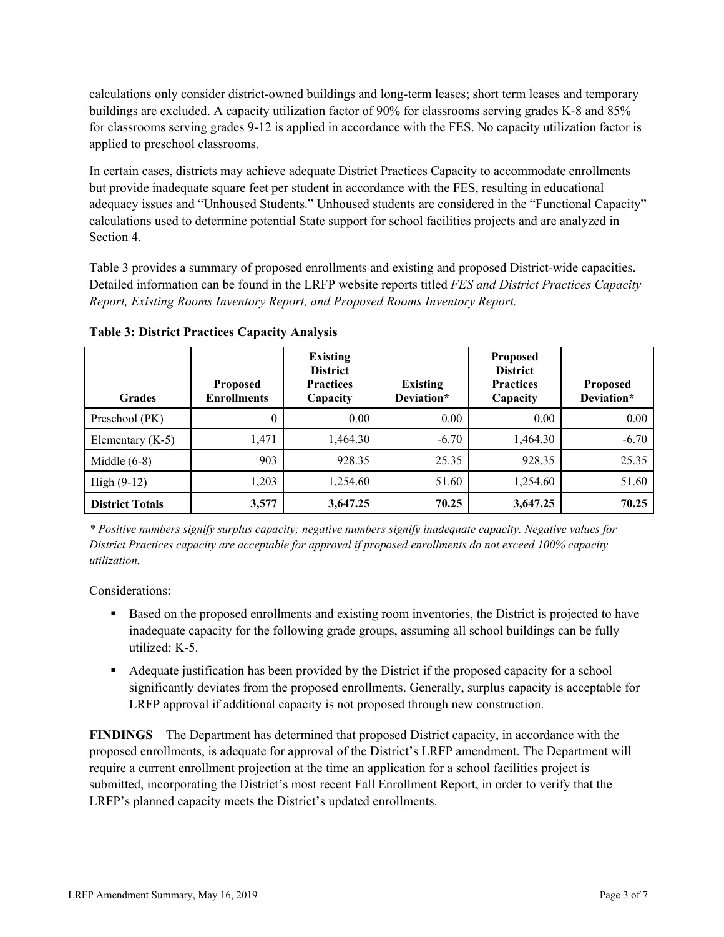calculations only consider district-owned buildings and long-term leases; short term leases and temporary buildings are excluded. A capacity utilization factor of 90% for classrooms serving grades K-8 and 85% for classrooms serving grades 9-12 is applied in accordance with the FES. No capacity utilization factor is applied to preschool classrooms.

In certain cases, districts may achieve adequate District Practices Capacity to accommodate enrollments but provide inadequate square feet per student in accordance with the FES, resulting in educational adequacy issues and "Unhoused Students." Unhoused students are considered in the "Functional Capacity" calculations used to determine potential State support for school facilities projects and are analyzed in Section 4.

Table 3 provides a summary of proposed enrollments and existing and proposed District-wide capacities. Detailed information can be found in the LRFP website reports titled *FES and District Practices Capacity Report, Existing Rooms Inventory Report, and Proposed Rooms Inventory Report.*

| <b>Grades</b>          | <b>Proposed</b><br><b>Enrollments</b> | <b>Existing</b><br><b>District</b><br><b>Practices</b><br>Capacity | <b>Existing</b><br>Deviation* | <b>Proposed</b><br><b>District</b><br><b>Practices</b><br>Capacity | <b>Proposed</b><br>Deviation* |
|------------------------|---------------------------------------|--------------------------------------------------------------------|-------------------------------|--------------------------------------------------------------------|-------------------------------|
| Preschool (PK)         | $\theta$                              | 0.00                                                               | 0.00                          | 0.00                                                               | 0.00                          |
| Elementary $(K-5)$     | 1,471                                 | 1,464.30                                                           | $-6.70$                       | 1,464.30                                                           | $-6.70$                       |
| Middle $(6-8)$         | 903                                   | 928.35                                                             | 25.35                         | 928.35                                                             | 25.35                         |
| $High (9-12)$          | 1,203                                 | 1,254.60                                                           | 51.60                         | 1,254.60                                                           | 51.60                         |
| <b>District Totals</b> | 3,577                                 | 3,647.25                                                           | 70.25                         | 3,647.25                                                           | 70.25                         |

**Table 3: District Practices Capacity Analysis**

*\* Positive numbers signify surplus capacity; negative numbers signify inadequate capacity. Negative values for District Practices capacity are acceptable for approval if proposed enrollments do not exceed 100% capacity utilization.*

Considerations:

- Based on the proposed enrollments and existing room inventories, the District is projected to have inadequate capacity for the following grade groups, assuming all school buildings can be fully utilized: K-5.
- Adequate justification has been provided by the District if the proposed capacity for a school significantly deviates from the proposed enrollments. Generally, surplus capacity is acceptable for LRFP approval if additional capacity is not proposed through new construction.

**FINDINGS**The Department has determined that proposed District capacity, in accordance with the proposed enrollments, is adequate for approval of the District's LRFP amendment. The Department will require a current enrollment projection at the time an application for a school facilities project is submitted, incorporating the District's most recent Fall Enrollment Report, in order to verify that the LRFP's planned capacity meets the District's updated enrollments.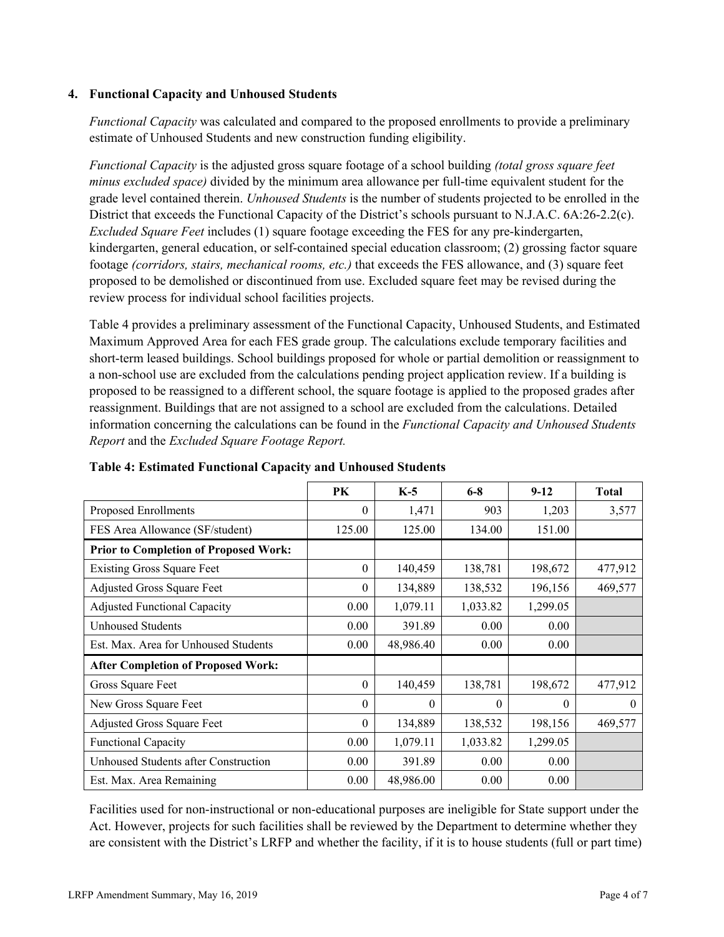## **4. Functional Capacity and Unhoused Students**

*Functional Capacity* was calculated and compared to the proposed enrollments to provide a preliminary estimate of Unhoused Students and new construction funding eligibility.

*Functional Capacity* is the adjusted gross square footage of a school building *(total gross square feet minus excluded space)* divided by the minimum area allowance per full-time equivalent student for the grade level contained therein. *Unhoused Students* is the number of students projected to be enrolled in the District that exceeds the Functional Capacity of the District's schools pursuant to N.J.A.C. 6A:26-2.2(c). *Excluded Square Feet* includes (1) square footage exceeding the FES for any pre-kindergarten, kindergarten, general education, or self-contained special education classroom; (2) grossing factor square footage *(corridors, stairs, mechanical rooms, etc.)* that exceeds the FES allowance, and (3) square feet proposed to be demolished or discontinued from use. Excluded square feet may be revised during the review process for individual school facilities projects.

Table 4 provides a preliminary assessment of the Functional Capacity, Unhoused Students, and Estimated Maximum Approved Area for each FES grade group. The calculations exclude temporary facilities and short-term leased buildings. School buildings proposed for whole or partial demolition or reassignment to a non-school use are excluded from the calculations pending project application review. If a building is proposed to be reassigned to a different school, the square footage is applied to the proposed grades after reassignment. Buildings that are not assigned to a school are excluded from the calculations. Detailed information concerning the calculations can be found in the *Functional Capacity and Unhoused Students Report* and the *Excluded Square Footage Report.*

|                                              | PK             | $K-5$     | $6 - 8$  | $9-12$   | <b>Total</b> |
|----------------------------------------------|----------------|-----------|----------|----------|--------------|
| Proposed Enrollments                         | 0              | 1,471     | 903      | 1,203    | 3,577        |
| FES Area Allowance (SF/student)              | 125.00         | 125.00    | 134.00   | 151.00   |              |
| <b>Prior to Completion of Proposed Work:</b> |                |           |          |          |              |
| <b>Existing Gross Square Feet</b>            | $\theta$       | 140,459   | 138,781  | 198,672  | 477,912      |
| Adjusted Gross Square Feet                   | $\overline{0}$ | 134,889   | 138,532  | 196,156  | 469,577      |
| <b>Adjusted Functional Capacity</b>          | 0.00           | 1,079.11  | 1,033.82 | 1,299.05 |              |
| <b>Unhoused Students</b>                     | 0.00           | 391.89    | 0.00     | 0.00     |              |
| Est. Max. Area for Unhoused Students         | 0.00           | 48,986.40 | 0.00     | 0.00     |              |
| <b>After Completion of Proposed Work:</b>    |                |           |          |          |              |
| Gross Square Feet                            | $\theta$       | 140,459   | 138,781  | 198,672  | 477,912      |
| New Gross Square Feet                        | $\theta$       | $\Omega$  | $\theta$ | $\theta$ | $\theta$     |
| Adjusted Gross Square Feet                   | 0              | 134,889   | 138,532  | 198,156  | 469,577      |
| <b>Functional Capacity</b>                   | 0.00           | 1,079.11  | 1,033.82 | 1,299.05 |              |
| Unhoused Students after Construction         | 0.00           | 391.89    | 0.00     | 0.00     |              |
| Est. Max. Area Remaining                     | 0.00           | 48,986.00 | 0.00     | 0.00     |              |

**Table 4: Estimated Functional Capacity and Unhoused Students** 

Facilities used for non-instructional or non-educational purposes are ineligible for State support under the Act. However, projects for such facilities shall be reviewed by the Department to determine whether they are consistent with the District's LRFP and whether the facility, if it is to house students (full or part time)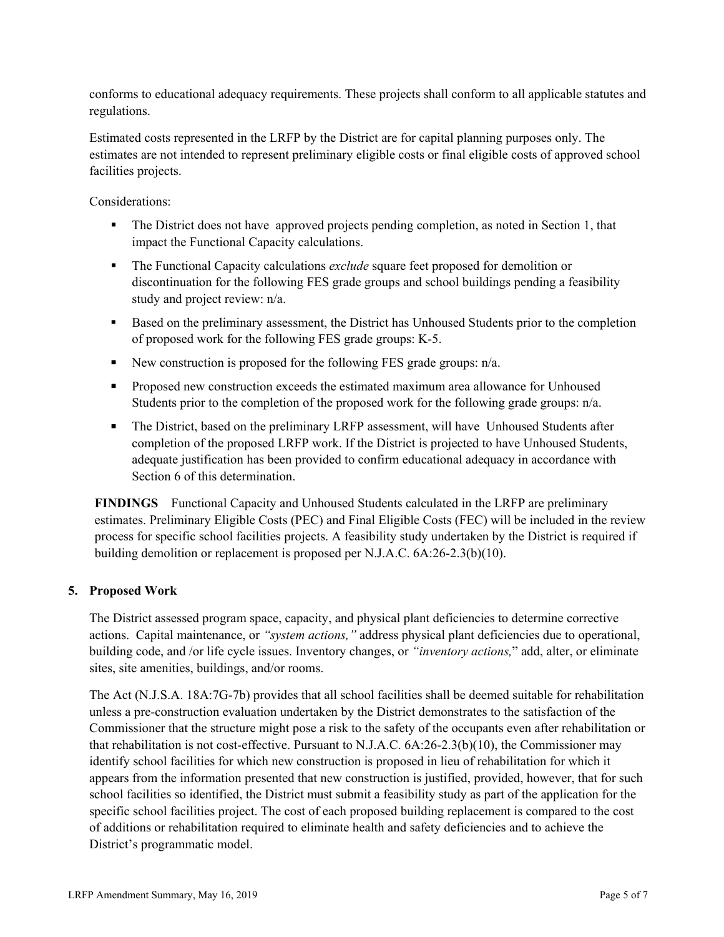conforms to educational adequacy requirements. These projects shall conform to all applicable statutes and regulations.

Estimated costs represented in the LRFP by the District are for capital planning purposes only. The estimates are not intended to represent preliminary eligible costs or final eligible costs of approved school facilities projects.

Considerations:

- The District does not have approved projects pending completion, as noted in Section 1, that impact the Functional Capacity calculations.
- **The Functional Capacity calculations** *exclude* square feet proposed for demolition or discontinuation for the following FES grade groups and school buildings pending a feasibility study and project review: n/a.
- Based on the preliminary assessment, the District has Unhoused Students prior to the completion of proposed work for the following FES grade groups: K-5.
- New construction is proposed for the following FES grade groups:  $n/a$ .
- **Proposed new construction exceeds the estimated maximum area allowance for Unhoused** Students prior to the completion of the proposed work for the following grade groups: n/a.
- The District, based on the preliminary LRFP assessment, will have Unhoused Students after completion of the proposed LRFP work. If the District is projected to have Unhoused Students, adequate justification has been provided to confirm educational adequacy in accordance with Section 6 of this determination.

**FINDINGS** Functional Capacity and Unhoused Students calculated in the LRFP are preliminary estimates. Preliminary Eligible Costs (PEC) and Final Eligible Costs (FEC) will be included in the review process for specific school facilities projects. A feasibility study undertaken by the District is required if building demolition or replacement is proposed per N.J.A.C. 6A:26-2.3(b)(10).

# **5. Proposed Work**

The District assessed program space, capacity, and physical plant deficiencies to determine corrective actions. Capital maintenance, or *"system actions,"* address physical plant deficiencies due to operational, building code, and /or life cycle issues. Inventory changes, or *"inventory actions,*" add, alter, or eliminate sites, site amenities, buildings, and/or rooms.

The Act (N.J.S.A. 18A:7G-7b) provides that all school facilities shall be deemed suitable for rehabilitation unless a pre-construction evaluation undertaken by the District demonstrates to the satisfaction of the Commissioner that the structure might pose a risk to the safety of the occupants even after rehabilitation or that rehabilitation is not cost-effective. Pursuant to N.J.A.C. 6A:26-2.3(b)(10), the Commissioner may identify school facilities for which new construction is proposed in lieu of rehabilitation for which it appears from the information presented that new construction is justified, provided, however, that for such school facilities so identified, the District must submit a feasibility study as part of the application for the specific school facilities project. The cost of each proposed building replacement is compared to the cost of additions or rehabilitation required to eliminate health and safety deficiencies and to achieve the District's programmatic model.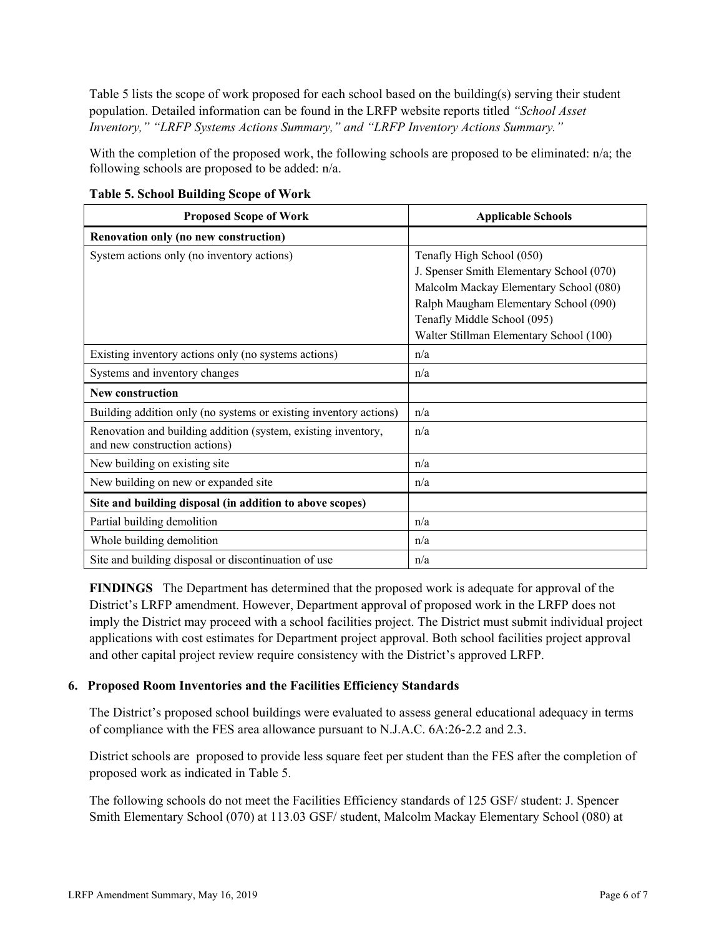Table 5 lists the scope of work proposed for each school based on the building(s) serving their student population. Detailed information can be found in the LRFP website reports titled *"School Asset Inventory," "LRFP Systems Actions Summary," and "LRFP Inventory Actions Summary."*

With the completion of the proposed work, the following schools are proposed to be eliminated: n/a; the following schools are proposed to be added: n/a.

| <b>Proposed Scope of Work</b>                                                                  | <b>Applicable Schools</b>                |
|------------------------------------------------------------------------------------------------|------------------------------------------|
| Renovation only (no new construction)                                                          |                                          |
| System actions only (no inventory actions)                                                     | Tenafly High School (050)                |
|                                                                                                | J. Spenser Smith Elementary School (070) |
|                                                                                                | Malcolm Mackay Elementary School (080)   |
|                                                                                                | Ralph Maugham Elementary School (090)    |
|                                                                                                | Tenafly Middle School (095)              |
|                                                                                                | Walter Stillman Elementary School (100)  |
| Existing inventory actions only (no systems actions)                                           | n/a                                      |
| Systems and inventory changes                                                                  | n/a                                      |
| <b>New construction</b>                                                                        |                                          |
| Building addition only (no systems or existing inventory actions)                              | n/a                                      |
| Renovation and building addition (system, existing inventory,<br>and new construction actions) | n/a                                      |
| New building on existing site                                                                  | n/a                                      |
| New building on new or expanded site                                                           | n/a                                      |
| Site and building disposal (in addition to above scopes)                                       |                                          |
| Partial building demolition                                                                    | n/a                                      |
| Whole building demolition                                                                      | n/a                                      |
| Site and building disposal or discontinuation of use                                           | n/a                                      |

**Table 5. School Building Scope of Work**

**FINDINGS** The Department has determined that the proposed work is adequate for approval of the District's LRFP amendment. However, Department approval of proposed work in the LRFP does not imply the District may proceed with a school facilities project. The District must submit individual project applications with cost estimates for Department project approval. Both school facilities project approval and other capital project review require consistency with the District's approved LRFP.

### **6. Proposed Room Inventories and the Facilities Efficiency Standards**

The District's proposed school buildings were evaluated to assess general educational adequacy in terms of compliance with the FES area allowance pursuant to N.J.A.C. 6A:26-2.2 and 2.3.

District schools are proposed to provide less square feet per student than the FES after the completion of proposed work as indicated in Table 5.

The following schools do not meet the Facilities Efficiency standards of 125 GSF/ student: J. Spencer Smith Elementary School (070) at 113.03 GSF/ student, Malcolm Mackay Elementary School (080) at